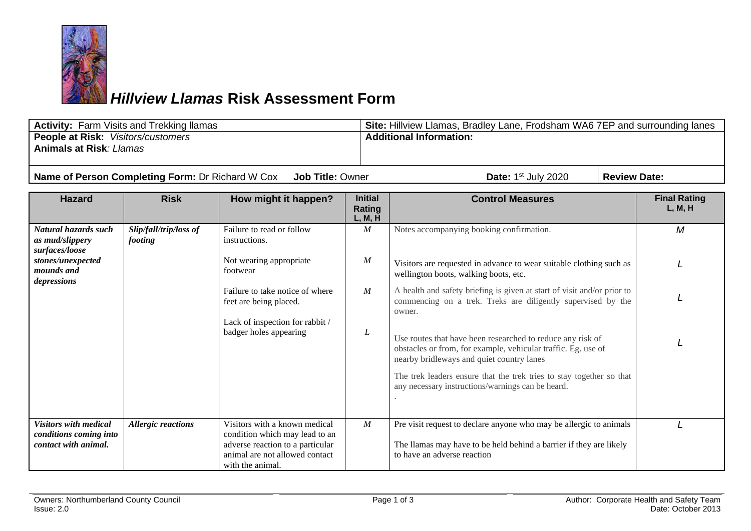

## *Hillview Llamas* **Risk Assessment Form**

| <b>Activity: Farm Visits and Trekking Ilamas</b>                               |                                   |                                                                                                                                                           |                                     | Site: Hillview Llamas, Bradley Lane, Frodsham WA6 7EP and surrounding lanes                                                                                              |  |                                |  |
|--------------------------------------------------------------------------------|-----------------------------------|-----------------------------------------------------------------------------------------------------------------------------------------------------------|-------------------------------------|--------------------------------------------------------------------------------------------------------------------------------------------------------------------------|--|--------------------------------|--|
| People at Risk: Visitors/customers                                             |                                   |                                                                                                                                                           |                                     | <b>Additional Information:</b>                                                                                                                                           |  |                                |  |
| <b>Animals at Risk: Llamas</b>                                                 |                                   |                                                                                                                                                           |                                     |                                                                                                                                                                          |  |                                |  |
|                                                                                |                                   |                                                                                                                                                           |                                     |                                                                                                                                                                          |  |                                |  |
| Name of Person Completing Form: Dr Richard W Cox<br><b>Job Title: Owner</b>    |                                   |                                                                                                                                                           |                                     | Date: 1 <sup>st</sup> July 2020<br><b>Review Date:</b>                                                                                                                   |  |                                |  |
| <b>Hazard</b>                                                                  | <b>Risk</b>                       | How might it happen?                                                                                                                                      | <b>Initial</b><br>Rating<br>L, M, H | <b>Control Measures</b>                                                                                                                                                  |  | <b>Final Rating</b><br>L, M, H |  |
| Natural hazards such<br>as mud/slippery<br>surfaces/loose                      | Slip/fall/trip/loss of<br>footing | Failure to read or follow<br>instructions.                                                                                                                | M                                   | Notes accompanying booking confirmation.                                                                                                                                 |  | M                              |  |
| stones/unexpected<br>mounds and<br>depressions                                 |                                   | Not wearing appropriate<br>footwear                                                                                                                       | M                                   | Visitors are requested in advance to wear suitable clothing such as<br>wellington boots, walking boots, etc.                                                             |  |                                |  |
|                                                                                |                                   | Failure to take notice of where<br>feet are being placed.                                                                                                 | M                                   | A health and safety briefing is given at start of visit and/or prior to<br>commencing on a trek. Treks are diligently supervised by the<br>owner.                        |  |                                |  |
|                                                                                |                                   | Lack of inspection for rabbit /<br>badger holes appearing                                                                                                 | L                                   | Use routes that have been researched to reduce any risk of<br>obstacles or from, for example, vehicular traffic. Eg. use of<br>nearby bridleways and quiet country lanes |  |                                |  |
|                                                                                |                                   |                                                                                                                                                           |                                     | The trek leaders ensure that the trek tries to stay together so that<br>any necessary instructions/warnings can be heard.                                                |  |                                |  |
| <b>Visitors with medical</b><br>conditions coming into<br>contact with animal. | <b>Allergic reactions</b>         | Visitors with a known medical<br>condition which may lead to an<br>adverse reaction to a particular<br>animal are not allowed contact<br>with the animal. | M                                   | Pre visit request to declare anyone who may be allergic to animals<br>The llamas may have to be held behind a barrier if they are likely<br>to have an adverse reaction  |  |                                |  |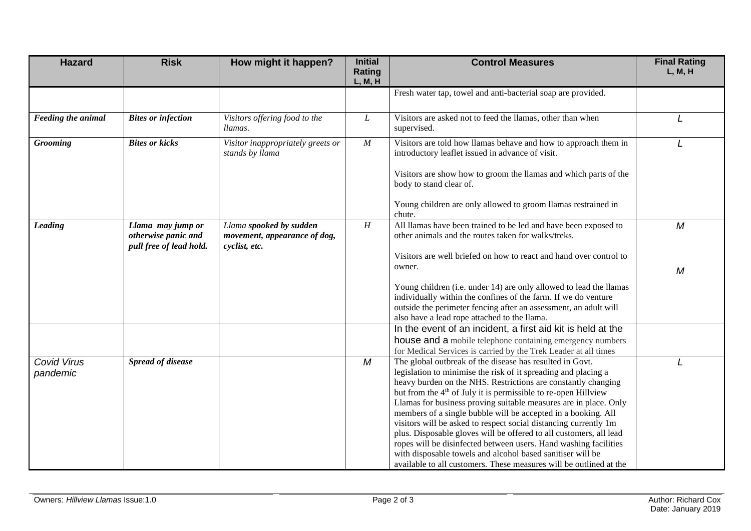| <b>Hazard</b>                  | <b>Risk</b>                                                         | How might it happen?                                                     | <b>Initial</b><br>Rating<br>L, M, H | <b>Control Measures</b>                                                                                                                                                                                                                                                                                                                                                                                                                                                                                                                                                                                                                                                                                                                                          | <b>Final Rating</b><br>L, M, H |
|--------------------------------|---------------------------------------------------------------------|--------------------------------------------------------------------------|-------------------------------------|------------------------------------------------------------------------------------------------------------------------------------------------------------------------------------------------------------------------------------------------------------------------------------------------------------------------------------------------------------------------------------------------------------------------------------------------------------------------------------------------------------------------------------------------------------------------------------------------------------------------------------------------------------------------------------------------------------------------------------------------------------------|--------------------------------|
|                                |                                                                     |                                                                          |                                     | Fresh water tap, towel and anti-bacterial soap are provided.                                                                                                                                                                                                                                                                                                                                                                                                                                                                                                                                                                                                                                                                                                     |                                |
| Feeding the animal             | <b>Bites or infection</b>                                           | Visitors offering food to the<br>llamas.                                 | $\boldsymbol{L}$                    | Visitors are asked not to feed the llamas, other than when<br>supervised.                                                                                                                                                                                                                                                                                                                                                                                                                                                                                                                                                                                                                                                                                        |                                |
| <b>Grooming</b>                | <b>Bites or kicks</b>                                               | Visitor inappropriately greets or<br>stands by llama                     | M                                   | Visitors are told how llamas behave and how to approach them in<br>introductory leaflet issued in advance of visit.                                                                                                                                                                                                                                                                                                                                                                                                                                                                                                                                                                                                                                              |                                |
|                                |                                                                     |                                                                          |                                     | Visitors are show how to groom the llamas and which parts of the<br>body to stand clear of.                                                                                                                                                                                                                                                                                                                                                                                                                                                                                                                                                                                                                                                                      |                                |
|                                |                                                                     |                                                                          |                                     | Young children are only allowed to groom llamas restrained in<br>chute.                                                                                                                                                                                                                                                                                                                                                                                                                                                                                                                                                                                                                                                                                          |                                |
| <b>Leading</b>                 | Llama may jump or<br>otherwise panic and<br>pull free of lead hold. | Llama spooked by sudden<br>movement, appearance of dog,<br>cyclist, etc. | $\boldsymbol{H}$                    | All llamas have been trained to be led and have been exposed to<br>other animals and the routes taken for walks/treks.                                                                                                                                                                                                                                                                                                                                                                                                                                                                                                                                                                                                                                           | M                              |
|                                |                                                                     |                                                                          |                                     | Visitors are well briefed on how to react and hand over control to<br>owner.                                                                                                                                                                                                                                                                                                                                                                                                                                                                                                                                                                                                                                                                                     | M                              |
|                                |                                                                     |                                                                          |                                     | Young children (i.e. under 14) are only allowed to lead the llamas<br>individually within the confines of the farm. If we do venture<br>outside the perimeter fencing after an assessment, an adult will<br>also have a lead rope attached to the llama.                                                                                                                                                                                                                                                                                                                                                                                                                                                                                                         |                                |
|                                |                                                                     |                                                                          |                                     | In the event of an incident, a first aid kit is held at the<br>house and a mobile telephone containing emergency numbers<br>for Medical Services is carried by the Trek Leader at all times                                                                                                                                                                                                                                                                                                                                                                                                                                                                                                                                                                      |                                |
| <b>Covid Virus</b><br>pandemic | <b>Spread of disease</b>                                            |                                                                          | $\boldsymbol{M}$                    | The global outbreak of the disease has resulted in Govt.<br>legislation to minimise the risk of it spreading and placing a<br>heavy burden on the NHS. Restrictions are constantly changing<br>but from the 4 <sup>th</sup> of July it is permissible to re-open Hillview<br>Llamas for business proving suitable measures are in place. Only<br>members of a single bubble will be accepted in a booking. All<br>visitors will be asked to respect social distancing currently 1m<br>plus. Disposable gloves will be offered to all customers, all lead<br>ropes will be disinfected between users. Hand washing facilities<br>with disposable towels and alcohol based sanitiser will be<br>available to all customers. These measures will be outlined at the |                                |